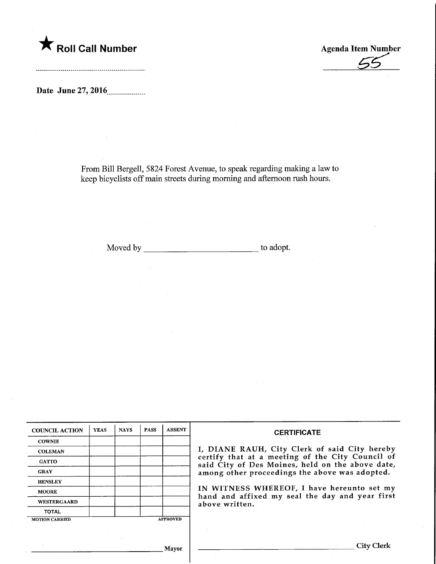

**Agenda Item Number** 

Date June 27, 2016

From Bill Bergell, 5824 Forest Avenue, to speak regarding making a law to keep bicyclists off main streets during morning and afternoon rush hours.

Moved by the contract of the contract of the depth of the contract of the contract of the contract of the contract of the contract of the contract of the contract of the contract of the contract of the contract of the cont

| <b>COUNCIL ACTION</b> | <b>YEAS</b> | <b>NAYS</b> | <b>PASS</b> | <b>ABSENT</b>   | <b>CERTIFICATE</b>                                                                                                                                                                                      |  |  |
|-----------------------|-------------|-------------|-------------|-----------------|---------------------------------------------------------------------------------------------------------------------------------------------------------------------------------------------------------|--|--|
| <b>COWNIE</b>         |             |             |             |                 |                                                                                                                                                                                                         |  |  |
| <b>COLEMAN</b>        |             |             |             |                 | I, DIANE RAUH, City Clerk of said City hereby<br>certify that at a meeting of the City Council of<br>said City of Des Moines, held on the above date,<br>among other proceedings the above was adopted. |  |  |
| <b>GATTO</b>          |             |             |             |                 |                                                                                                                                                                                                         |  |  |
| <b>GRAY</b>           |             |             |             |                 |                                                                                                                                                                                                         |  |  |
| <b>HENSLEY</b>        |             |             |             |                 |                                                                                                                                                                                                         |  |  |
| <b>MOORE</b>          |             |             |             |                 | IN WITNESS WHEREOF, I have hereunto set my                                                                                                                                                              |  |  |
| <b>WESTERGAARD</b>    |             |             |             |                 | hand and affixed my seal the day and year first<br>above written.                                                                                                                                       |  |  |
| <b>TOTAL</b>          |             |             |             |                 |                                                                                                                                                                                                         |  |  |
| <b>MOTION CARRIED</b> |             |             |             | <b>APPROVED</b> |                                                                                                                                                                                                         |  |  |
|                       |             |             |             |                 |                                                                                                                                                                                                         |  |  |
|                       |             |             |             | Mayar           | <b>City Clerk</b>                                                                                                                                                                                       |  |  |

Mayor